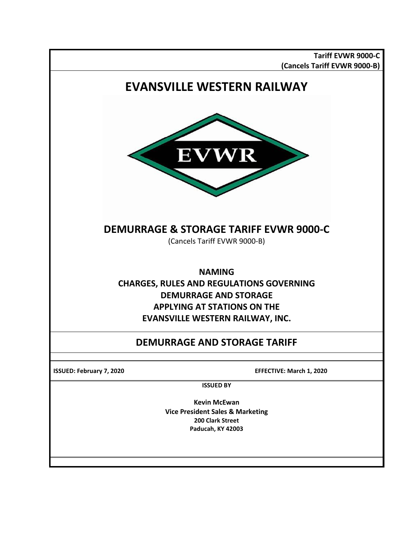**Tariff EVWR 9000-C (Cancels Tariff EVWR 9000-B)**

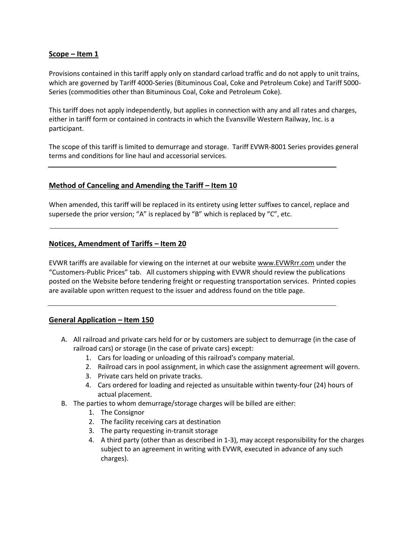## **Scope – Item 1**

Provisions contained in this tariff apply only on standard carload traffic and do not apply to unit trains, which are governed by Tariff 4000-Series (Bituminous Coal, Coke and Petroleum Coke) and Tariff 5000- Series (commodities other than Bituminous Coal, Coke and Petroleum Coke).

This tariff does not apply independently, but applies in connection with any and all rates and charges, either in tariff form or contained in contracts in which the Evansville Western Railway, Inc. is a participant.

The scope of this tariff is limited to demurrage and storage. Tariff EVWR-8001 Series provides general terms and conditions for line haul and accessorial services.

## **Method of Canceling and Amending the Tariff – Item 10**

When amended, this tariff will be replaced in its entirety using letter suffixes to cancel, replace and supersede the prior version; "A" is replaced by "B" which is replaced by "C", etc.

## **Notices, Amendment of Tariffs – Item 20**

EVWR tariffs are available for viewing on the internet at our website [www.EVWRrr.com](http://www.palrr.com/) under the "Customers-Public Prices" tab. All customers shipping with EVWR should review the publications posted on the Website before tendering freight or requesting transportation services. Printed copies are available upon written request to the issuer and address found on the title page.

### **General Application – Item 150**

- A. All railroad and private cars held for or by customers are subject to demurrage (in the case of railroad cars) or storage (in the case of private cars) except:
	- 1. Cars for loading or unloading of this railroad's company material.
	- 2. Railroad cars in pool assignment, in which case the assignment agreement will govern.
	- 3. Private cars held on private tracks.
	- 4. Cars ordered for loading and rejected as unsuitable within twenty-four (24) hours of actual placement.
- B. The parties to whom demurrage/storage charges will be billed are either:
	- 1. The Consignor
	- 2. The facility receiving cars at destination
	- 3. The party requesting in-transit storage
	- 4. A third party (other than as described in 1-3), may accept responsibility for the charges subject to an agreement in writing with EVWR, executed in advance of any such charges).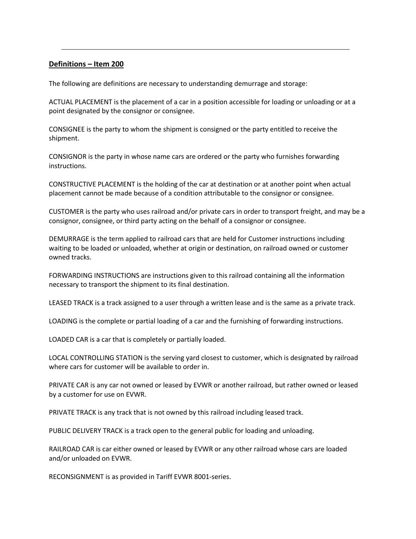### **Definitions – Item 200**

The following are definitions are necessary to understanding demurrage and storage:

ACTUAL PLACEMENT is the placement of a car in a position accessible for loading or unloading or at a point designated by the consignor or consignee.

CONSIGNEE is the party to whom the shipment is consigned or the party entitled to receive the shipment.

CONSIGNOR is the party in whose name cars are ordered or the party who furnishes forwarding instructions.

CONSTRUCTIVE PLACEMENT is the holding of the car at destination or at another point when actual placement cannot be made because of a condition attributable to the consignor or consignee.

CUSTOMER is the party who uses railroad and/or private cars in order to transport freight, and may be a consignor, consignee, or third party acting on the behalf of a consignor or consignee.

DEMURRAGE is the term applied to railroad cars that are held for Customer instructions including waiting to be loaded or unloaded, whether at origin or destination, on railroad owned or customer owned tracks.

FORWARDING INSTRUCTIONS are instructions given to this railroad containing all the information necessary to transport the shipment to its final destination.

LEASED TRACK is a track assigned to a user through a written lease and is the same as a private track.

LOADING is the complete or partial loading of a car and the furnishing of forwarding instructions.

LOADED CAR is a car that is completely or partially loaded.

LOCAL CONTROLLING STATION is the serving yard closest to customer, which is designated by railroad where cars for customer will be available to order in.

PRIVATE CAR is any car not owned or leased by EVWR or another railroad, but rather owned or leased by a customer for use on EVWR.

PRIVATE TRACK is any track that is not owned by this railroad including leased track.

PUBLIC DELIVERY TRACK is a track open to the general public for loading and unloading.

RAILROAD CAR is car either owned or leased by EVWR or any other railroad whose cars are loaded and/or unloaded on EVWR.

RECONSIGNMENT is as provided in Tariff EVWR 8001-series.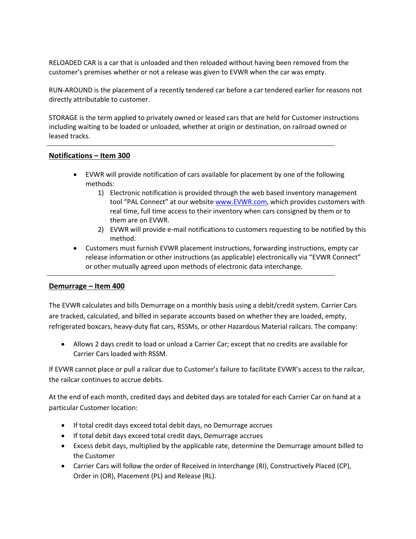RELOADED CAR is a car that is unloaded and then reloaded without having been removed from the customer's premises whether or not a release was given to EVWR when the car was empty.

RUN-AROUND is the placement of a recently tendered car before a car tendered earlier for reasons not directly attributable to customer.

STORAGE is the term applied to privately owned or leased cars that are held for Customer instructions including waiting to be loaded or unloaded, whether at origin or destination, on railroad owned or leased tracks.

## **Notifications – Item 300**

- EVWR will provide notification of cars available for placement by one of the following methods:
	- 1) Electronic notification is provided through the web based inventory management tool "PAL Connect" at our website [www.EVWR.com,](http://www.evwr.com/) which provides customers with real time, full time access to their inventory when cars consigned by them or to them are on EVWR.
	- 2) EVWR will provide e-mail notifications to customers requesting to be notified by this method.
- Customers must furnish EVWR placement instructions, forwarding instructions, empty car release information or other instructions (as applicable) electronically via "EVWR Connect" or other mutually agreed upon methods of electronic data interchange.

### **Demurrage – Item 400**

The EVWR calculates and bills Demurrage on a monthly basis using a debit/credit system. Carrier Cars are tracked, calculated, and billed in separate accounts based on whether they are loaded, empty, refrigerated boxcars, heavy-duty flat cars, RSSMs, or other Hazardous Material railcars. The company:

 Allows 2 days credit to load or unload a Carrier Car; except that no credits are available for Carrier Cars loaded with RSSM.

If EVWR cannot place or pull a railcar due to Customer's failure to facilitate EVWR's access to the railcar, the railcar continues to accrue debits.

At the end of each month, credited days and debited days are totaled for each Carrier Car on hand at a particular Customer location:

- If total credit days exceed total debit days, no Demurrage accrues
- If total debit days exceed total credit days, Demurrage accrues
- Excess debit days, multiplied by the applicable rate, determine the Demurrage amount billed to the Customer
- Carrier Cars will follow the order of Received in Interchange (RI), Constructively Placed (CP), Order in (OR), Placement (PL) and Release (RL).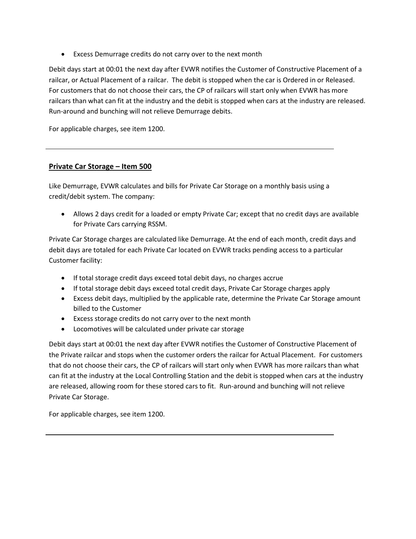Excess Demurrage credits do not carry over to the next month

Debit days start at 00:01 the next day after EVWR notifies the Customer of Constructive Placement of a railcar, or Actual Placement of a railcar. The debit is stopped when the car is Ordered in or Released. For customers that do not choose their cars, the CP of railcars will start only when EVWR has more railcars than what can fit at the industry and the debit is stopped when cars at the industry are released. Run-around and bunching will not relieve Demurrage debits.

For applicable charges, see item 1200.

## **Private Car Storage – Item 500**

Like Demurrage, EVWR calculates and bills for Private Car Storage on a monthly basis using a credit/debit system. The company:

 Allows 2 days credit for a loaded or empty Private Car; except that no credit days are available for Private Cars carrying RSSM.

Private Car Storage charges are calculated like Demurrage. At the end of each month, credit days and debit days are totaled for each Private Car located on EVWR tracks pending access to a particular Customer facility:

- If total storage credit days exceed total debit days, no charges accrue
- If total storage debit days exceed total credit days, Private Car Storage charges apply
- Excess debit days, multiplied by the applicable rate, determine the Private Car Storage amount billed to the Customer
- Excess storage credits do not carry over to the next month
- Locomotives will be calculated under private car storage

Debit days start at 00:01 the next day after EVWR notifies the Customer of Constructive Placement of the Private railcar and stops when the customer orders the railcar for Actual Placement. For customers that do not choose their cars, the CP of railcars will start only when EVWR has more railcars than what can fit at the industry at the Local Controlling Station and the debit is stopped when cars at the industry are released, allowing room for these stored cars to fit. Run-around and bunching will not relieve Private Car Storage.

For applicable charges, see item 1200.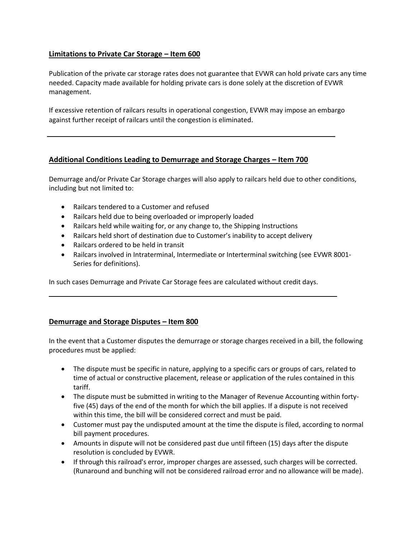# **Limitations to Private Car Storage – Item 600**

Publication of the private car storage rates does not guarantee that EVWR can hold private cars any time needed. Capacity made available for holding private cars is done solely at the discretion of EVWR management.

If excessive retention of railcars results in operational congestion, EVWR may impose an embargo against further receipt of railcars until the congestion is eliminated.

## **Additional Conditions Leading to Demurrage and Storage Charges – Item 700**

Demurrage and/or Private Car Storage charges will also apply to railcars held due to other conditions, including but not limited to:

- Railcars tendered to a Customer and refused
- Railcars held due to being overloaded or improperly loaded
- Railcars held while waiting for, or any change to, the Shipping Instructions
- Railcars held short of destination due to Customer's inability to accept delivery
- Railcars ordered to be held in transit
- Railcars involved in Intraterminal, Intermediate or Interterminal switching (see EVWR 8001- Series for definitions).

In such cases Demurrage and Private Car Storage fees are calculated without credit days.

### **Demurrage and Storage Disputes – Item 800**

In the event that a Customer disputes the demurrage or storage charges received in a bill, the following procedures must be applied:

- The dispute must be specific in nature, applying to a specific cars or groups of cars, related to time of actual or constructive placement, release or application of the rules contained in this tariff.
- The dispute must be submitted in writing to the Manager of Revenue Accounting within fortyfive (45) days of the end of the month for which the bill applies. If a dispute is not received within this time, the bill will be considered correct and must be paid.
- Customer must pay the undisputed amount at the time the dispute is filed, according to normal bill payment procedures.
- Amounts in dispute will not be considered past due until fifteen (15) days after the dispute resolution is concluded by EVWR.
- If through this railroad's error, improper charges are assessed, such charges will be corrected. (Runaround and bunching will not be considered railroad error and no allowance will be made).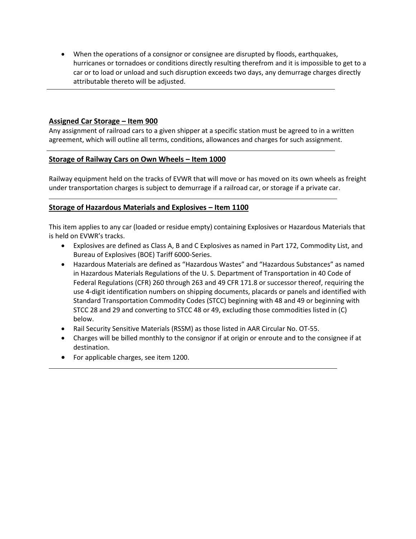When the operations of a consignor or consignee are disrupted by floods, earthquakes, hurricanes or tornadoes or conditions directly resulting therefrom and it is impossible to get to a car or to load or unload and such disruption exceeds two days, any demurrage charges directly attributable thereto will be adjusted.

## **Assigned Car Storage – Item 900**

Any assignment of railroad cars to a given shipper at a specific station must be agreed to in a written agreement, which will outline all terms, conditions, allowances and charges for such assignment.

## **Storage of Railway Cars on Own Wheels – Item 1000**

Railway equipment held on the tracks of EVWR that will move or has moved on its own wheels as freight under transportation charges is subject to demurrage if a railroad car, or storage if a private car.

## **Storage of Hazardous Materials and Explosives – Item 1100**

This item applies to any car (loaded or residue empty) containing Explosives or Hazardous Materials that is held on EVWR's tracks.

- Explosives are defined as Class A, B and C Explosives as named in Part 172, Commodity List, and Bureau of Explosives (BOE) Tariff 6000-Series.
- Hazardous Materials are defined as "Hazardous Wastes" and "Hazardous Substances" as named in Hazardous Materials Regulations of the U. S. Department of Transportation in 40 Code of Federal Regulations (CFR) 260 through 263 and 49 CFR 171.8 or successor thereof, requiring the use 4-digit identification numbers on shipping documents, placards or panels and identified with Standard Transportation Commodity Codes (STCC) beginning with 48 and 49 or beginning with STCC 28 and 29 and converting to STCC 48 or 49, excluding those commodities listed in (C) below.
- Rail Security Sensitive Materials (RSSM) as those listed in AAR Circular No. OT-55.
- Charges will be billed monthly to the consignor if at origin or enroute and to the consignee if at destination.
- For applicable charges, see item 1200.